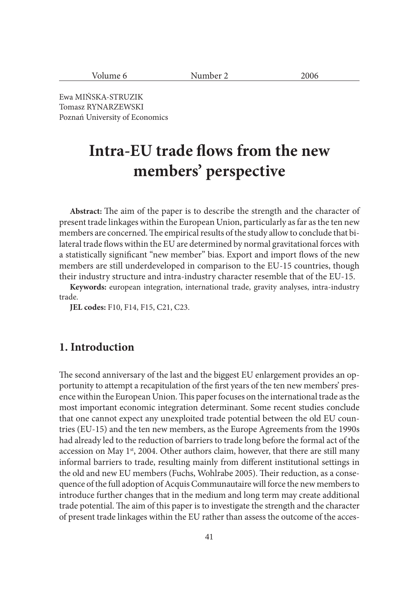| $ -$<br><br>$-000$<br>$\cdots$<br>$\sim$ |  |
|------------------------------------------|--|
|------------------------------------------|--|

Ewa MIŃSKA-STRUZIK Tomasz RYNARZEWSKI Poznań University of Economics

# **Intra-EU trade flows from the new members' perspective**

Abstract: The aim of the paper is to describe the strength and the character of present trade linkages within the European Union, particularly as far as the ten new members are concerned. The empirical results of the study allow to conclude that bilateral trade flows within the EU are determined by normal gravitational forces with a statistically significant "new member" bias. Export and import flows of the new members are still underdeveloped in comparison to the EU-15 countries, though their industry structure and intra-industry character resemble that of the EU-15.

**Keywords:** european integration, international trade, gravity analyses, intra-industry trade.

**JEL codes:** F10, F14, F15, C21, C23.

# **1. Introduction**

The second anniversary of the last and the biggest EU enlargement provides an opportunity to attempt a recapitulation of the first years of the ten new members' presence within the European Union. This paper focuses on the international trade as the most important economic integration determinant. Some recent studies conclude that one cannot expect any unexploited trade potential between the old EU countries (EU-15) and the ten new members, as the Europe Agreements from the 1990s had already led to the reduction of barriers to trade long before the formal act of the accession on May 1<sup>st</sup>, 2004. Other authors claim, however, that there are still many informal barriers to trade, resulting mainly from different institutional settings in the old and new EU members (Fuchs, Wohlrabe 2005). Their reduction, as a consequence of the full adoption of Acquis Communautaire will force the new members to introduce further changes that in the medium and long term may create additional trade potential. The aim of this paper is to investigate the strength and the character of present trade linkages within the EU rather than assess the outcome of the acces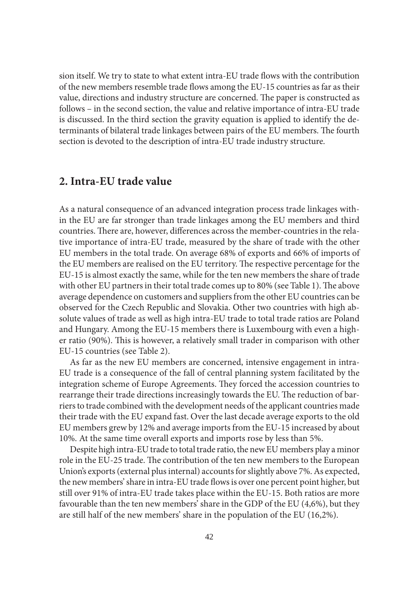sion itself. We try to state to what extent intra-EU trade flows with the contribution of the new members resemble trade flows among the EU-15 countries as far as their value, directions and industry structure are concerned. The paper is constructed as follows – in the second section, the value and relative importance of intra-EU trade is discussed. In the third section the gravity equation is applied to identify the determinants of bilateral trade linkages between pairs of the EU members. The fourth section is devoted to the description of intra-EU trade industry structure.

## **2. Intra-EU trade value**

As a natural consequence of an advanced integration process trade linkages within the EU are far stronger than trade linkages among the EU members and third countries. There are, however, differences across the member-countries in the relative importance of intra-EU trade, measured by the share of trade with the other EU members in the total trade. On average 68% of exports and 66% of imports of the EU members are realised on the EU territory. The respective percentage for the EU-15 is almost exactly the same, while for the ten new members the share of trade with other EU partners in their total trade comes up to 80% (see Table 1). The above average dependence on customers and suppliers from the other EU countries can be observed for the Czech Republic and Slovakia. Other two countries with high absolute values of trade as well as high intra-EU trade to total trade ratios are Poland and Hungary. Among the EU-15 members there is Luxembourg with even a higher ratio (90%). This is however, a relatively small trader in comparison with other EU-15 countries (see Table 2).

As far as the new EU members are concerned, intensive engagement in intra-EU trade is a consequence of the fall of central planning system facilitated by the integration scheme of Europe Agreements. They forced the accession countries to rearrange their trade directions increasingly towards the EU. The reduction of barriers to trade combined with the development needs of the applicant countries made their trade with the EU expand fast. Over the last decade average exports to the old EU members grew by 12% and average imports from the EU-15 increased by about 10%. At the same time overall exports and imports rose by less than 5%.

Despite high intra-EU trade to total trade ratio, the new EU members play a minor role in the EU-25 trade. The contribution of the ten new members to the European Union's exports (external plus internal) accounts for slightly above 7%. As expected, the new members' share in intra-EU trade flows is over one percent point higher, but still over 91% of intra-EU trade takes place within the EU-15. Both ratios are more favourable than the ten new members' share in the GDP of the EU (4,6%), but they are still half of the new members' share in the population of the EU (16,2%).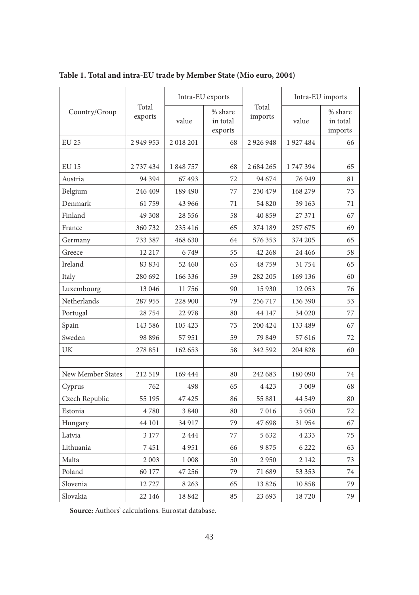|                   |                  |          | Intra-EU exports               |                  | Intra-EU imports |                                |  |
|-------------------|------------------|----------|--------------------------------|------------------|------------------|--------------------------------|--|
| Country/Group     | Total<br>exports | value    | % share<br>in total<br>exports | Total<br>imports | value            | % share<br>in total<br>imports |  |
| <b>EU 25</b>      | 2 949 953        | 2018201  | 68                             | 2 9 2 6 9 4 8    | 1927484          | 66                             |  |
|                   |                  |          |                                |                  |                  |                                |  |
| <b>EU 15</b>      | 2 737 434        | 1848757  | 68                             | 2 684 265        | 1747394          | 65                             |  |
| Austria           | 94 3 94          | 67493    | 72                             | 94 674           | 76 949           | 81                             |  |
| Belgium           | 246 409          | 189 490  | 77                             | 230 479          | 168 279          | 73                             |  |
| Denmark           | 61759            | 43 966   | 71                             | 54 820           | 39 163           | 71                             |  |
| Finland           | 49 308           | 28 5 5 6 | 58                             | 40 859           | 27 371           | 67                             |  |
| France            | 360 732          | 235 416  | 65                             | 374 189          | 257 675          | 69                             |  |
| Germany           | 733 387          | 468 630  | 64                             | 576 353          | 374 205          | 65                             |  |
| Greece            | 12 217           | 6749     | 55                             | 42 268           | 24 4 66          | 58                             |  |
| Ireland           | 83 834           | 52 460   | 63                             | 48759            | 31754            | 65                             |  |
| Italy             | 280 692          | 166 336  | 59                             | 282 205          | 169 136          | 60                             |  |
| Luxembourg        | 13 046           | 11756    | 90                             | 15 9 30          | 12053            | 76                             |  |
| Netherlands       | 287 955          | 228 900  | 79                             | 256 717          | 136 390          | 53                             |  |
| Portugal          | 28754            | 22 978   | 80                             | 44 147           | 34 0 20          | 77                             |  |
| Spain             | 143 586          | 105 423  | 73                             | 200 424          | 133 489          | 67                             |  |
| Sweden            | 98 8 96          | 57951    | 59                             | 79 849           | 57 616           | 72                             |  |
| UK                | 278 851          | 162 653  | 58                             | 342 592          | 204 828          | 60                             |  |
|                   |                  |          |                                |                  |                  |                                |  |
| New Member States | 212 519          | 169 444  | 80                             | 242 683          | 180 090          | 74                             |  |
| Cyprus            | 762              | 498      | 65                             | 4 4 2 3          | 3 0 0 9          | 68                             |  |
| Czech Republic    | 55 195           | 47 425   | 86                             | 55 881           | 44 549           | 80                             |  |
| Estonia           | 4780             | 3 8 4 0  | 80                             | 7016             | 5 0 5 0          | 72                             |  |
| Hungary           | 44 101           | 34 917   | 79                             | 47 698           | 31954            | 67                             |  |
| Latvia            | 3 1 7 7          | 2444     | 77                             | 5 6 3 2          | 4 2 3 3          | 75                             |  |
| Lithuania         | 7451             | 4951     | 66                             | 9875             | 6 2 2 2          | 63                             |  |
| Malta             | 2 0 0 3          | 1 0 0 8  | 50                             | 2950             | 2 1 4 2          | 73                             |  |
| Poland            | 60 177           | 47 25 6  | 79                             | 71 689           | 53 353           | 74                             |  |
| Slovenia          | 12727            | 8 2 6 3  | 65                             | 13826            | 10858            | 79                             |  |
| Slovakia          | 22 146           | 18842    | 85                             | 23 693           | 18720            | 79                             |  |

**Table 1. Total and intra-EU trade by Member State (Mio euro, 2004)**

**Source:** Authors' calculations. Eurostat database.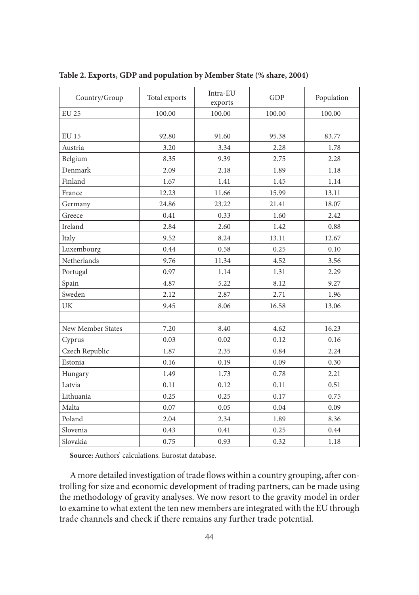| Country/Group     | Total exports | Intra-EU<br>exports | GDP    | Population |
|-------------------|---------------|---------------------|--------|------------|
| <b>EU 25</b>      | 100.00        | 100.00              | 100.00 | 100.00     |
|                   |               |                     |        |            |
| <b>EU 15</b>      | 92.80         | 91.60               | 95.38  | 83.77      |
| Austria           | 3.20          | 3.34                | 2.28   | 1.78       |
| Belgium           | 8.35          | 9.39                | 2.75   | 2.28       |
| Denmark           | 2.09          | 2.18                | 1.89   | 1.18       |
| Finland           | 1.67          | 1.41                | 1.45   | 1.14       |
| France            | 12.23         | 11.66               | 15.99  | 13.11      |
| Germany           | 24.86         | 23.22               | 21.41  | 18.07      |
| Greece            | 0.41          | 0.33                | 1.60   | 2.42       |
| Ireland           | 2.84          | 2.60                | 1.42   | 0.88       |
| Italy             | 9.52          | 8.24                | 13.11  | 12.67      |
| Luxembourg        | 0.44          | 0.58                | 0.25   | 0.10       |
| Netherlands       | 9.76          | 11.34               | 4.52   | 3.56       |
| Portugal          | 0.97          | 1.14                | 1.31   | 2.29       |
| Spain             | 4.87          | 5.22                | 8.12   | 9.27       |
| Sweden            | 2.12          | 2.87                | 2.71   | 1.96       |
| UK                | 9.45          | 8.06                | 16.58  | 13.06      |
|                   |               |                     |        |            |
| New Member States | 7.20          | 8.40                | 4.62   | 16.23      |
| Cyprus            | 0.03          | 0.02                | 0.12   | 0.16       |
| Czech Republic    | 1.87          | 2.35                | 0.84   | 2.24       |
| Estonia           | 0.16          | 0.19                | 0.09   | 0.30       |
| Hungary           | 1.49          | 1.73                | 0.78   | 2.21       |
| Latvia            | 0.11          | 0.12                | 0.11   | 0.51       |
| Lithuania         | 0.25          | 0.25                | 0.17   | 0.75       |
| Malta             | 0.07          | 0.05                | 0.04   | 0.09       |
| Poland            | 2.04          | 2.34                | 1.89   | 8.36       |
| Slovenia          | 0.43          | 0.41                | 0.25   | 0.44       |
| Slovakia          | 0.75          | 0.93                | 0.32   | 1.18       |

**Table 2. Exports, GDP and population by Member State (% share, 2004)**

**Source:** Authors' calculations. Eurostat database.

A more detailed investigation of trade flows within a country grouping, after controlling for size and economic development of trading partners, can be made using the methodology of gravity analyses. We now resort to the gravity model in order to examine to what extent the ten new members are integrated with the EU through trade channels and check if there remains any further trade potential.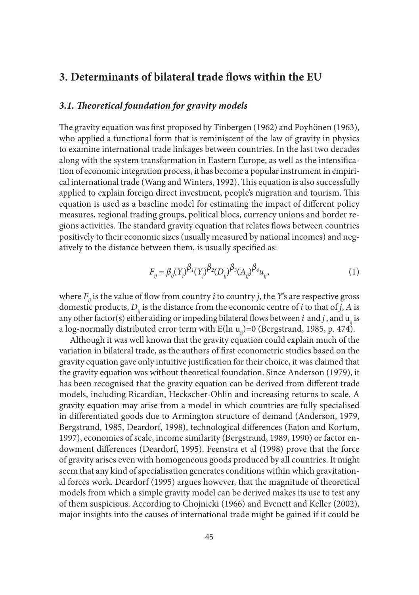## **3. Determinants of bilateral trade flows within the EU**

#### *3.1. Th eoretical foundation for gravity models*

The gravity equation was first proposed by Tinbergen (1962) and Poyhönen (1963), who applied a functional form that is reminiscent of the law of gravity in physics to examine international trade linkages between countries. In the last two decades along with the system transformation in Eastern Europe, as well as the intensification of economic integration process, it has become a popular instrument in empirical international trade (Wang and Winters, 1992). This equation is also successfully applied to explain foreign direct investment, people's migration and tourism. This equation is used as a baseline model for estimating the impact of different policy measures, regional trading groups, political blocs, currency unions and border regions activities. The standard gravity equation that relates flows between countries positively to their economic sizes (usually measured by national incomes) and negatively to the distance between them, is usually specified as:

$$
F_{ij} = \beta_o(Y_i)^{\beta_1}(Y_j)^{\beta_2}(D_{ij})^{\beta_3}(A_{ij})^{\beta_4}u_{ij},
$$
\n(1)

where  $F_{ii}$  is the value of flow from country *i* to country *j*, the *Y*'s are respective gross domestic products,  $D_{ii}$  is the distance from the economic centre of *i* to that of *j*, *A* is any other factor(s) either aiding or impeding bilateral flows between  $i$  and  $j$ , and  $u_{ij}$  is a log-normally distributed error term with  $E(\ln u_{ii})=0$  (Bergstrand, 1985, p. 474).

Although it was well known that the gravity equation could explain much of the variation in bilateral trade, as the authors of first econometric studies based on the gravity equation gave only intuitive justification for their choice, it was claimed that the gravity equation was without theoretical foundation. Since Anderson (1979), it has been recognised that the gravity equation can be derived from different trade models, including Ricardian, Heckscher-Ohlin and increasing returns to scale. A gravity equation may arise from a model in which countries are fully specialised in differentiated goods due to Armington structure of demand (Anderson, 1979, Bergstrand, 1985, Deardorf, 1998), technological differences (Eaton and Kortum, 1997), economies of scale, income similarity (Bergstrand, 1989, 1990) or factor endowment differences (Deardorf, 1995). Feenstra et al (1998) prove that the force of gravity arises even with homogeneous goods produced by all countries. It might seem that any kind of specialisation generates conditions within which gravitational forces work. Deardorf (1995) argues however, that the magnitude of theoretical models from which a simple gravity model can be derived makes its use to test any of them suspicious. According to Chojnicki (1966) and Evenett and Keller (2002), major insights into the causes of international trade might be gained if it could be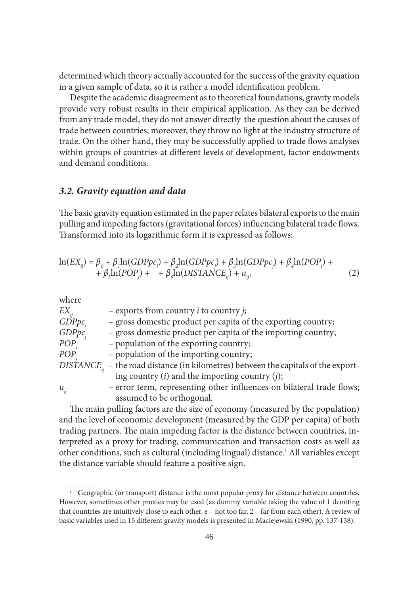determined which theory actually accounted for the success of the gravity equation in a given sample of data, so it is rather a model identification problem.

Despite the academic disagreement as to theoretical foundations, gravity models provide very robust results in their empirical application. As they can be derived from any trade model, they do not answer directly the question about the causes of trade between countries; moreover, they throw no light at the industry structure of trade. On the other hand, they may be successfully applied to trade flows analyses within groups of countries at different levels of development, factor endowments and demand conditions.

#### *3.2. Gravity equation and data*

The basic gravity equation estimated in the paper relates bilateral exports to the main pulling and impeding factors (gravitational forces) influencing bilateral trade flows. Transformed into its logarithmic form it is expressed as follows:

$$
\ln(EX_{ij}) = \beta_0 + \beta_1 \ln(GDPpc_i) + \beta_2 \ln(GDPpc_j) + \beta_3 \ln(GDPpc_j) + \beta_4 \ln(POP_i) + + \beta_5 \ln(POP_j) + \beta_6 \ln(DISTANCE_{ij}) + u_{ij},
$$
\n(2)

where

| $EX_{ij}$      | $-$ exports from country <i>i</i> to country <i>j</i> ;                                        |
|----------------|------------------------------------------------------------------------------------------------|
| $G\text{D}Ppc$ | - gross domestic product per capita of the exporting country;                                  |
| GDPpc          | - gross domestic product per capita of the importing country;                                  |
| $POP_i$        | - population of the exporting country;                                                         |
| POP            | - population of the importing country;                                                         |
|                | $DIS\text{TANCE}_{ii}$ – the road distance (in kilometres) between the capitals of the export- |
|                | ing country $(i)$ and the importing country $(j)$ ;                                            |
| $u_{ii}$       | - error term, representing other influences on bilateral trade flows;                          |
|                | assumed to be orthogonal.                                                                      |

The main pulling factors are the size of economy (measured by the population) and the level of economic development (measured by the GDP per capita) of both trading partners. The main impeding factor is the distance between countries, interpreted as a proxy for trading, communication and transaction costs as well as other conditions, such as cultural (including lingual) distance.<sup>1</sup> All variables except the distance variable should feature a positive sign.

<sup>&</sup>lt;sup>1</sup> Geographic (or transport) distance is the most popular proxy for distance between countries. However, sometimes other proxies may be used (as dummy variable taking the value of 1 denoting that countries are intuitively close to each other, e – not too far, 2 – far from each other). A review of basic variables used in 15 different gravity models is presented in Maciejewski (1990, pp. 137-138).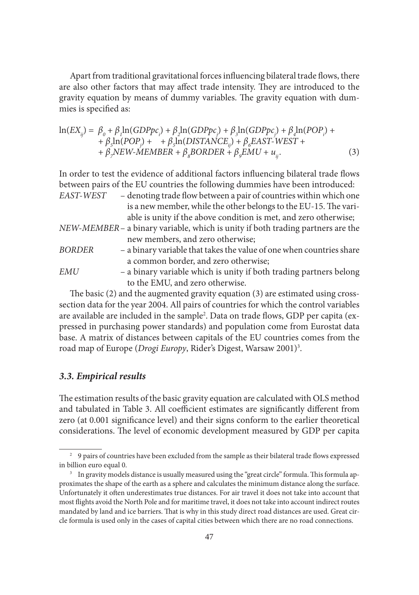Apart from traditional gravitational forces influencing bilateral trade flows, there are also other factors that may affect trade intensity. They are introduced to the gravity equation by means of dummy variables. The gravity equation with dummies is specified as:

$$
\ln(EX_{ij}) = \beta_0 + \beta_1 \ln(GDPpc_i) + \beta_2 \ln(GDPpc_j) + \beta_3 \ln(GDPpc_j) + \beta_4 \ln(POP_i) + + \beta_5 \ln(POP_j) + \beta_5 \ln(DISTANCE_{ij}) + \beta_6 EAST-WEST + + \beta_7 NEW-MEMBER + \beta_8 BORDER + \beta_5 EMU + u_{ij}.
$$
 (3)

In order to test the evidence of additional factors influencing bilateral trade flows between pairs of the EU countries the following dummies have been introduced: *EAST-WEST* – denoting trade flow between a pair of countries within which one

|             | well cally a wee if o  o well well we place of wo withing the single only       |
|-------------|---------------------------------------------------------------------------------|
|             | is a new member, while the other belongs to the EU-15. The vari-                |
|             | able is unity if the above condition is met, and zero otherwise;                |
|             | NEW-MEMBER – a binary variable, which is unity if both trading partners are the |
|             | new members, and zero otherwise;                                                |
| BORDER      | - a binary variable that takes the value of one when countries share            |
|             | a common border, and zero otherwise;                                            |
| <b>EMII</b> | $\sim$ a binary variable which is unity if both trading partners belong         |

*EMU* – a binary variable which is unity if both trading partners belong to the EMU, and zero otherwise.

The basic  $(2)$  and the augmented gravity equation  $(3)$  are estimated using crosssection data for the year 2004. All pairs of countries for which the control variables are available are included in the sample<sup>2</sup>. Data on trade flows, GDP per capita (expressed in purchasing power standards) and population come from Eurostat data base. A matrix of distances between capitals of the EU countries comes from the road map of Europe (Drogi Europy, Rider's Digest, Warsaw 2001)<sup>3</sup>.

#### *3.3. Empirical results*

The estimation results of the basic gravity equation are calculated with OLS method and tabulated in Table 3. All coefficient estimates are significantly different from zero (at 0.001 significance level) and their signs conform to the earlier theoretical considerations. The level of economic development measured by GDP per capita

<sup>&</sup>lt;sup>2</sup> 9 pairs of countries have been excluded from the sample as their bilateral trade flows expressed in billion euro equal 0.

<sup>&</sup>lt;sup>3</sup> In gravity models distance is usually measured using the "great circle" formula. This formula approximates the shape of the earth as a sphere and calculates the minimum distance along the surface. Unfortunately it often underestimates true distances. For air travel it does not take into account that most flights avoid the North Pole and for maritime travel, it does not take into account indirect routes mandated by land and ice barriers. That is why in this study direct road distances are used. Great circle formula is used only in the cases of capital cities between which there are no road connections.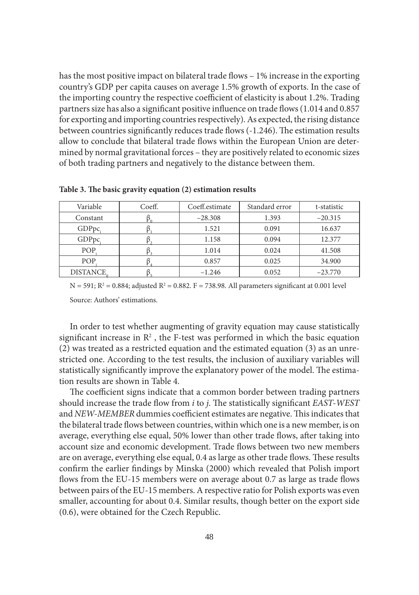has the most positive impact on bilateral trade flows – 1% increase in the exporting country's GDP per capita causes on average 1.5% growth of exports. In the case of the importing country the respective coefficient of elasticity is about 1.2%. Trading partners size has also a significant positive influence on trade flows (1.014 and 0.857 for exporting and importing countries respectively). As expected, the rising distance between countries significantly reduces trade flows (-1.246). The estimation results allow to conclude that bilateral trade flows within the European Union are determined by normal gravitational forces – they are positively related to economic sizes of both trading partners and negatively to the distance between them.

| Variable         | Coeff. | Coeff.estimate | Standard error | t-statistic |
|------------------|--------|----------------|----------------|-------------|
| Constant         |        | $-28.308$      | 1.393          | $-20.315$   |
| GDPpc.           |        | 1.521          | 0.091          | 16.637      |
| GDPpc            |        | 1.158          | 0.094          | 12.377      |
| POP.             |        | 1.014          | 0.024          | 41.508      |
| POP.             |        | 0.857          | 0.025          | 34.900      |
| <b>DISTANCE.</b> |        | $-1.246$       | 0.052          | $-23.770$   |

Table 3. The basic gravity equation (2) estimation results

 $N = 591; R<sup>2</sup> = 0.884;$  adjusted  $R<sup>2</sup> = 0.882. F = 738.98$ . All parameters significant at 0.001 level

Source: Authors' estimations.

In order to test whether augmenting of gravity equation may cause statistically significant increase in  $\mathbb{R}^2$ , the F-test was performed in which the basic equation (2) was treated as a restricted equation and the estimated equation (3) as an unrestricted one. According to the test results, the inclusion of auxiliary variables will statistically significantly improve the explanatory power of the model. The estimation results are shown in Table 4.

The coefficient signs indicate that a common border between trading partners should increase the trade flow from *i* to *j*. The statistically significant *EAST-WEST* and *NEW-MEMBER* dummies coefficient estimates are negative. This indicates that the bilateral trade flows between countries, within which one is a new member, is on average, everything else equal, 50% lower than other trade flows, after taking into account size and economic development. Trade flows between two new members are on average, everything else equal, 0.4 as large as other trade flows. These results confirm the earlier findings by Minska (2000) which revealed that Polish import flows from the EU-15 members were on average about 0.7 as large as trade flows between pairs of the EU-15 members. A respective ratio for Polish exports was even smaller, accounting for about 0.4. Similar results, though better on the export side (0.6), were obtained for the Czech Republic.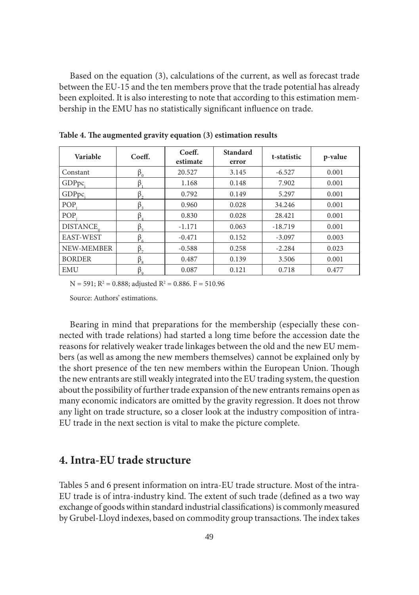Based on the equation (3), calculations of the current, as well as forecast trade between the EU-15 and the ten members prove that the trade potential has already been exploited. It is also interesting to note that according to this estimation membership in the EMU has no statistically significant influence on trade.

| Variable         | Coeff.      | Coeff.<br>estimate | <b>Standard</b><br>error | t-statistic | p-value |
|------------------|-------------|--------------------|--------------------------|-------------|---------|
| Constant         | $\beta_{0}$ | 20.527             | 3.145                    | $-6.527$    | 0.001   |
| GDPpc            | $\beta_{1}$ | 1.168              | 0.148                    | 7.902       | 0.001   |
| GDPpc            | $\beta$ ,   | 0.792              | 0.149                    | 5.297       | 0.001   |
| POP.             | $\beta_{3}$ | 0.960              | 0.028                    | 34.246      | 0.001   |
| POP.             | $\beta_{4}$ | 0.830              | 0.028                    | 28.421      | 0.001   |
| <b>DISTANCE.</b> | $\beta_{5}$ | $-1.171$           | 0.063                    | $-18.719$   | 0.001   |
| EAST-WEST        | $\beta_{6}$ | $-0.471$           | 0.152                    | $-3.097$    | 0.003   |
| NEW-MEMBER       | $\beta_{7}$ | $-0.588$           | 0.258                    | $-2.284$    | 0.023   |
| <b>BORDER</b>    | $\beta_{8}$ | 0.487              | 0.139                    | 3.506       | 0.001   |
| <b>EMU</b>       | $\beta$     | 0.087              | 0.121                    | 0.718       | 0.477   |

Table 4. The augmented gravity equation (3) estimation results

 $N = 591$ ;  $R^2 = 0.888$ ; adjusted  $R^2 = 0.886$ .  $F = 510.96$ 

Source: Authors' estimations.

Bearing in mind that preparations for the membership (especially these connected with trade relations) had started a long time before the accession date the reasons for relatively weaker trade linkages between the old and the new EU members (as well as among the new members themselves) cannot be explained only by the short presence of the ten new members within the European Union. Though the new entrants are still weakly integrated into the EU trading system, the question about the possibility of further trade expansion of the new entrants remains open as many economic indicators are omitted by the gravity regression. It does not throw any light on trade structure, so a closer look at the industry composition of intra-EU trade in the next section is vital to make the picture complete.

## **4. Intra-EU trade structure**

Tables 5 and 6 present information on intra-EU trade structure. Most of the intra-EU trade is of intra-industry kind. The extent of such trade (defined as a two way exchange of goods within standard industrial classifications) is commonly measured by Grubel-Lloyd indexes, based on commodity group transactions. The index takes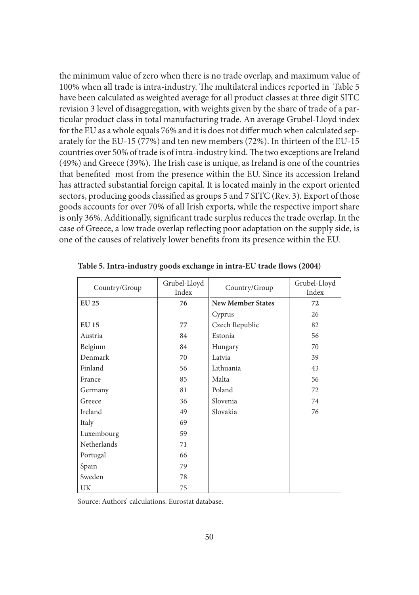the minimum value of zero when there is no trade overlap, and maximum value of 100% when all trade is intra-industry. The multilateral indices reported in Table 5 have been calculated as weighted average for all product classes at three digit SITC revision 3 level of disaggregation, with weights given by the share of trade of a particular product class in total manufacturing trade. An average Grubel-Lloyd index for the EU as a whole equals 76% and it is does not differ much when calculated separately for the EU-15 (77%) and ten new members (72%). In thirteen of the EU-15 countries over 50% of trade is of intra-industry kind. The two exceptions are Ireland  $(49%)$  and Greece  $(39%)$ . The Irish case is unique, as Ireland is one of the countries that benefited most from the presence within the EU. Since its accession Ireland has attracted substantial foreign capital. It is located mainly in the export oriented sectors, producing goods classified as groups 5 and 7 SITC (Rev. 3). Export of those goods accounts for over 70% of all Irish exports, while the respective import share is only 36%. Additionally, significant trade surplus reduces the trade overlap. In the case of Greece, a low trade overlap reflecting poor adaptation on the supply side, is one of the causes of relatively lower benefits from its presence within the EU.

| Country/Group | Grubel-Lloyd<br>Index | Country/Group            | Grubel-Lloyd<br>Index |
|---------------|-----------------------|--------------------------|-----------------------|
| <b>EU 25</b>  | 76                    | <b>New Member States</b> | 72                    |
|               |                       | Cyprus                   | 26                    |
| <b>EU 15</b>  | 77                    | Czech Republic           | 82                    |
| Austria       | 84                    | Estonia                  | 56                    |
| Belgium       | 84                    | Hungary                  | 70                    |
| Denmark       | 70                    | Latvia                   | 39                    |
| Finland       | 56                    | Lithuania                | 43                    |
| France        | 85                    | Malta                    | 56                    |
| Germany       | 81                    | Poland                   | 72                    |
| Greece        | 36                    | Slovenia                 | 74                    |
| Ireland       | 49                    | Slovakia                 | 76                    |
| Italy         | 69                    |                          |                       |
| Luxembourg    | 59                    |                          |                       |
| Netherlands   | 71                    |                          |                       |
| Portugal      | 66                    |                          |                       |
| Spain         | 79                    |                          |                       |
| Sweden        | 78                    |                          |                       |
| UK            | 75                    |                          |                       |

Table 5. Intra-industry goods exchange in intra-EU trade flows (2004)

Source: Authors' calculations. Eurostat database.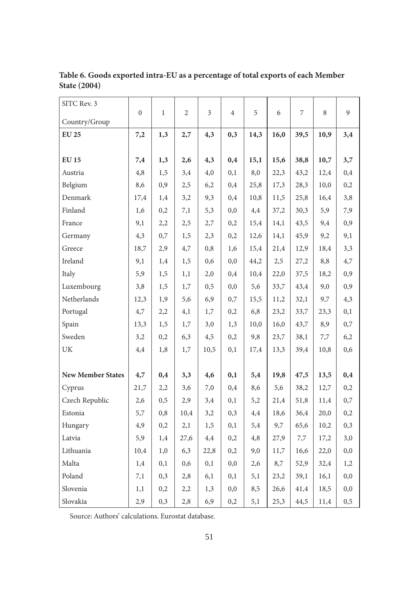| SITC Rev. 3                       | $\mathbf{0}$ | $\mathbf{1}$ | $\overline{2}$ | 3    | $\overline{4}$ | 5    | 6    | 7    | 8    | 9        |
|-----------------------------------|--------------|--------------|----------------|------|----------------|------|------|------|------|----------|
| Country/Group                     |              |              |                |      |                |      |      |      |      |          |
| <b>EU 25</b>                      | 7,2          | 1,3          | 2,7            | 4,3  | 0,3            | 14,3 | 16,0 | 39,5 | 10,9 | 3,4      |
|                                   |              |              |                |      |                |      |      |      |      |          |
| <b>EU 15</b>                      | 7,4          | 1,3          | 2,6            | 4,3  | 0,4            | 15,1 | 15,6 | 38,8 | 10,7 | 3,7      |
| Austria                           | 4,8          | 1,5          | 3,4            | 4,0  | 0,1            | 8,0  | 22,3 | 43,2 | 12,4 | 0,4      |
| Belgium                           | 8,6          | 0,9          | 2,5            | 6,2  | 0,4            | 25,8 | 17,3 | 28,3 | 10,0 | 0,2      |
| Denmark                           | 17,4         | 1,4          | 3,2            | 9,3  | 0,4            | 10,8 | 11,5 | 25,8 | 16,4 | 3,8      |
| Finland                           | 1,6          | 0,2          | 7,1            | 5,3  | 0,0            | 4,4  | 37,2 | 30,3 | 5,9  | 7,9      |
| France                            | 9,1          | 2,2          | 2,5            | 2,7  | 0,2            | 15,4 | 14,1 | 43,5 | 9,4  | 0,9      |
| Germany                           | 4,3          | 0,7          | 1,5            | 2,3  | 0,2            | 12,6 | 14,1 | 45,9 | 9,2  | 9,1      |
| Greece                            | 18,7         | 2,9          | 4,7            | 0,8  | 1,6            | 15,4 | 21,4 | 12,9 | 18,4 | 3,3      |
| Ireland                           | 9,1          | 1,4          | 1,5            | 0,6  | 0,0            | 44,2 | 2,5  | 27,2 | 8,8  | 4,7      |
| Italy                             | 5,9          | 1,5          | 1,1            | 2,0  | 0,4            | 10,4 | 22,0 | 37,5 | 18,2 | 0,9      |
| Luxembourg                        | 3,8          | 1,5          | 1,7            | 0, 5 | 0,0            | 5,6  | 33,7 | 43,4 | 9,0  | 0,9      |
| Netherlands                       | 12,3         | 1,9          | 5,6            | 6,9  | 0,7            | 15,5 | 11,2 | 32,1 | 9,7  | 4,3      |
| Portugal                          | 4,7          | 2,2          | 4,1            | 1,7  | 0,2            | 6,8  | 23,2 | 33,7 | 23,3 | 0,1      |
| Spain                             | 13,3         | 1,5          | 1,7            | 3,0  | 1,3            | 10,0 | 16,0 | 43,7 | 8,9  | 0,7      |
| Sweden                            | 3,2          | 0,2          | 6,3            | 4,5  | 0,2            | 9,8  | 23,7 | 38,1 | 7,7  | 6,2      |
| $\ensuremath{\mathrm{UK}}\xspace$ | 4,4          | 1,8          | 1,7            | 10,5 | 0,1            | 17,4 | 13,3 | 39,4 | 10,8 | 0,6      |
|                                   |              |              |                |      |                |      |      |      |      |          |
| <b>New Member States</b>          | 4,7          | 0,4          | 3,3            | 4,6  | 0,1            | 5,4  | 19,8 | 47,5 | 13,5 | 0,4      |
| Cyprus                            | 21,7         | 2,2          | 3,6            | 7,0  | 0,4            | 8,6  | 5,6  | 38,2 | 12,7 | 0,2      |
| Czech Republic                    | 2,6          | 0,5          | 2,9            | 3,4  | 0,1            | 5,2  | 21,4 | 51,8 | 11,4 | 0,7      |
| Estonia                           | 5,7          | 0,8          | 10,4           | 3,2  | 0,3            | 4,4  | 18,6 | 36,4 | 20,0 | 0,2      |
| Hungary                           | 4,9          | 0,2          | 2,1            | 1,5  | 0,1            | 5,4  | 9,7  | 65,6 | 10,2 | 0,3      |
| Latvia                            | 5,9          | 1,4          | 27,6           | 4,4  | 0,2            | 4,8  | 27,9 | 7,7  | 17,2 | 3,0      |
| Lithuania                         | 10,4         | 1,0          | 6,3            | 22,8 | 0,2            | 9,0  | 11,7 | 16,6 | 22,0 | 0,0      |
| Malta                             | 1,4          | 0,1          | 0,6            | 0,1  | 0,0            | 2,6  | 8,7  | 52,9 | 32,4 | 1,2      |
| Poland                            | 7,1          | 0,3          | 2,8            | 6,1  | 0,1            | 5,1  | 23,2 | 39,1 | 16,1 | 0,0      |
| Slovenia                          | 1,1          | 0,2          | 2,2            | 1,3  | 0,0            | 8,5  | 26,6 | 41,4 | 18,5 | $_{0,0}$ |
| Slovakia                          | 2,9          | 0,3          | 2,8            | 6,9  | 0,2            | 5,1  | 25,3 | 44,5 | 11,4 | 0,5      |

**Table 6. Goods exported intra-EU as a percentage of total exports of each Member State (2004)**

Source: Authors' calculations. Eurostat database.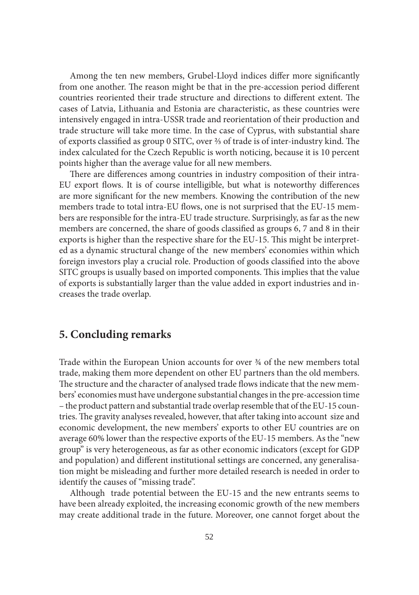Among the ten new members, Grubel-Lloyd indices differ more significantly from one another. The reason might be that in the pre-accession period different countries reoriented their trade structure and directions to different extent. The cases of Latvia, Lithuania and Estonia are characteristic, as these countries were intensively engaged in intra-USSR trade and reorientation of their production and trade structure will take more time. In the case of Cyprus, with substantial share of exports classified as group 0 SITC, over ⅔ of trade is of inter-industry kind. The index calculated for the Czech Republic is worth noticing, because it is 10 percent points higher than the average value for all new members.

There are differences among countries in industry composition of their intra-EU export flows. It is of course intelligible, but what is noteworthy differences are more significant for the new members. Knowing the contribution of the new members trade to total intra-EU flows, one is not surprised that the EU-15 members are responsible for the intra-EU trade structure. Surprisingly, as far as the new members are concerned, the share of goods classified as groups 6, 7 and 8 in their exports is higher than the respective share for the EU-15. This might be interpreted as a dynamic structural change of the new members' economies within which foreign investors play a crucial role. Production of goods classified into the above SITC groups is usually based on imported components. This implies that the value of exports is substantially larger than the value added in export industries and increases the trade overlap.

## **5. Concluding remarks**

Trade within the European Union accounts for over ¾ of the new members total trade, making them more dependent on other EU partners than the old members. The structure and the character of analysed trade flows indicate that the new members' economies must have undergone substantial changes in the pre-accession time – the product pattern and substantial trade overlap resemble that of the EU-15 countries. The gravity analyses revealed, however, that after taking into account size and economic development, the new members' exports to other EU countries are on average 60% lower than the respective exports of the EU-15 members. As the "new group" is very heterogeneous, as far as other economic indicators (except for GDP and population) and different institutional settings are concerned, any generalisation might be misleading and further more detailed research is needed in order to identify the causes of "missing trade".

Although trade potential between the EU-15 and the new entrants seems to have been already exploited, the increasing economic growth of the new members may create additional trade in the future. Moreover, one cannot forget about the